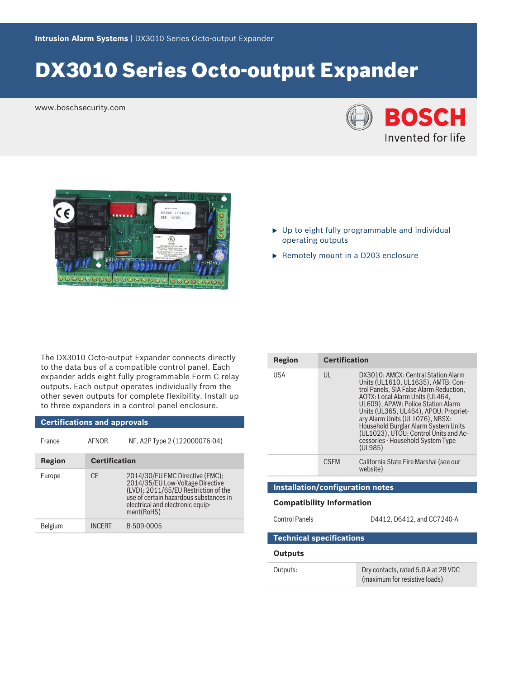# DX3010 Series Octo‑output Expander

www.boschsecurity.com





- $\triangleright$  Up to eight fully programmable and individual operating outputs
- $\blacktriangleright$  Remotely mount in a D203 enclosure

The DX3010 Octo-output Expander connects directly to the data bus of a compatible control panel. Each expander adds eight fully programmable Form C relay outputs. Each output operates individually from the other seven outputs for complete flexibility. Install up to three expanders in a control panel enclosure.

| <b>Certifications and approvals</b> |                      |                                                                                                                                                                                                         |  |
|-------------------------------------|----------------------|---------------------------------------------------------------------------------------------------------------------------------------------------------------------------------------------------------|--|
| France                              | <b>AFNOR</b>         | NF, A2P Type 2 (122000076-04)                                                                                                                                                                           |  |
| Region                              | <b>Certification</b> |                                                                                                                                                                                                         |  |
| Europe                              | CF                   | 2014/30/EU EMC Directive (EMC);<br>2014/35/EU Low-Voltage Directive<br>(LVD); 2011/65/EU Restriction of the<br>use of certain hazardous substances in<br>electrical and electronic equip-<br>ment(RoHS) |  |
| Belgium                             | INCFRT               | B-509-0005                                                                                                                                                                                              |  |

| Region                           | <b>Certification</b>                    |                                                                                                                                                                                                                                                                                                                                                                                                            |  |  |  |
|----------------------------------|-----------------------------------------|------------------------------------------------------------------------------------------------------------------------------------------------------------------------------------------------------------------------------------------------------------------------------------------------------------------------------------------------------------------------------------------------------------|--|--|--|
| USA                              | UL                                      | DX3010: AMCX: Central Station Alarm<br>Units (UL1610, UL1635), AMTB: Con-<br>trol Panels, SIA False Alarm Reduction,<br>AOTX: Local Alarm Units (UL464,<br>UL609), APAW: Police Station Alarm<br>Units (UL365, UL464), APOU: Propriet-<br>ary Alarm Units (UL1076), NBSX:<br>Household Burglar Alarm System Units<br>(UL1023), UTOU: Control Units and Ac-<br>cessories - Household System Type<br>(UL985) |  |  |  |
|                                  | <b>CSEM</b>                             | California State Fire Marshal (see our<br>website)                                                                                                                                                                                                                                                                                                                                                         |  |  |  |
|                                  | <b>Installation/configuration notes</b> |                                                                                                                                                                                                                                                                                                                                                                                                            |  |  |  |
| <b>Compatibility Information</b> |                                         |                                                                                                                                                                                                                                                                                                                                                                                                            |  |  |  |
| <b>Control Panels</b>            |                                         | D4412, D6412, and CC7240-A                                                                                                                                                                                                                                                                                                                                                                                 |  |  |  |
| <b>Technical specifications</b>  |                                         |                                                                                                                                                                                                                                                                                                                                                                                                            |  |  |  |
| Outputs                          |                                         |                                                                                                                                                                                                                                                                                                                                                                                                            |  |  |  |

| Outputs: | Dry contacts, rated 5.0 A at 28 VDC |
|----------|-------------------------------------|
|          | (maximum for resistive loads)       |